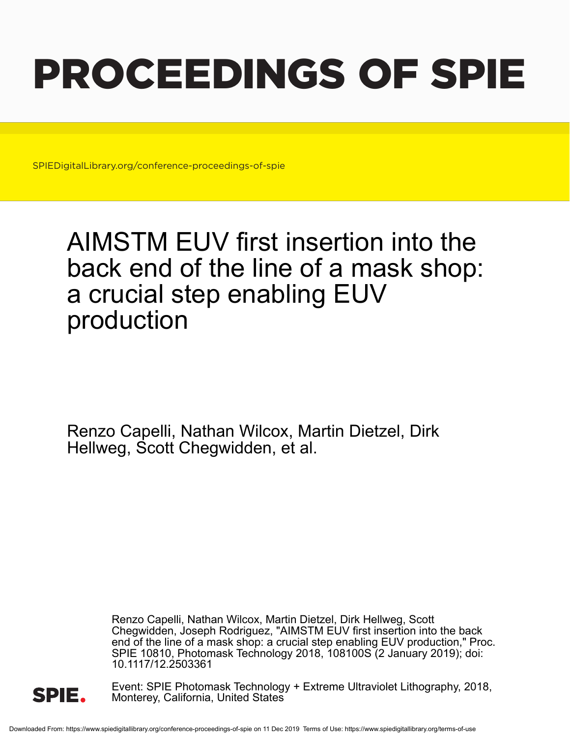# PROCEEDINGS OF SPIE

SPIEDigitalLibrary.org/conference-proceedings-of-spie

## AIMSTM EUV first insertion into the back end of the line of a mask shop: a crucial step enabling EUV production

Renzo Capelli, Nathan Wilcox, Martin Dietzel, Dirk Hellweg, Scott Chegwidden, et al.

> Renzo Capelli, Nathan Wilcox, Martin Dietzel, Dirk Hellweg, Scott Chegwidden, Joseph Rodriguez, "AIMSTM EUV first insertion into the back end of the line of a mask shop: a crucial step enabling EUV production," Proc. SPIE 10810, Photomask Technology 2018, 108100S (2 January 2019); doi: 10.1117/12.2503361



Event: SPIE Photomask Technology + Extreme Ultraviolet Lithography, 2018, Monterey, California, United States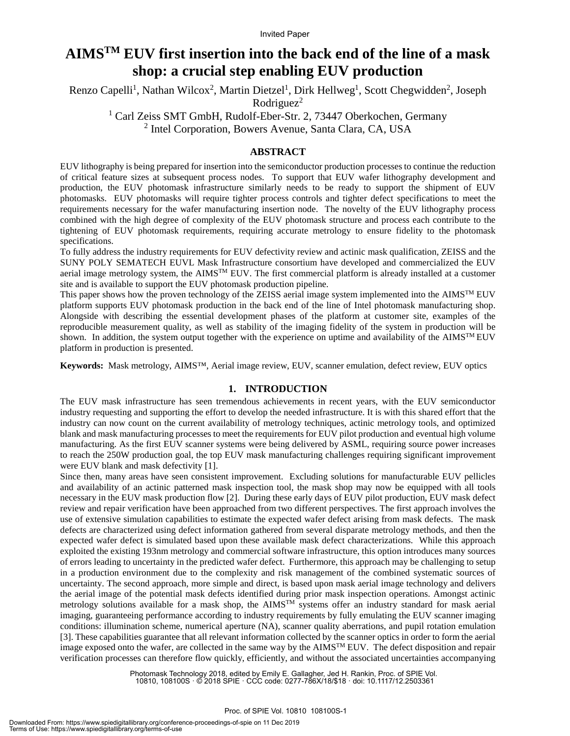### **AIMSTM EUV first insertion into the back end of the line of a mask shop: a crucial step enabling EUV production**

Renzo Capelli<sup>1</sup>, Nathan Wilcox<sup>2</sup>, Martin Dietzel<sup>1</sup>, Dirk Hellweg<sup>1</sup>, Scott Chegwidden<sup>2</sup>, Joseph  $Rodriguez<sup>2</sup>$ 

<sup>1</sup> Carl Zeiss SMT GmbH, Rudolf-Eber-Str. 2, 73447 Oberkochen, Germany

<sup>2</sup> Intel Corporation, Bowers Avenue, Santa Clara, CA, USA

#### **ABSTRACT**

EUV lithography is being prepared for insertion into the semiconductor production processes to continue the reduction of critical feature sizes at subsequent process nodes. To support that EUV wafer lithography development and production, the EUV photomask infrastructure similarly needs to be ready to support the shipment of EUV photomasks. EUV photomasks will require tighter process controls and tighter defect specifications to meet the requirements necessary for the wafer manufacturing insertion node. The novelty of the EUV lithography process combined with the high degree of complexity of the EUV photomask structure and process each contribute to the tightening of EUV photomask requirements, requiring accurate metrology to ensure fidelity to the photomask specifications.

To fully address the industry requirements for EUV defectivity review and actinic mask qualification, ZEISS and the SUNY POLY SEMATECH EUVL Mask Infrastructure consortium have developed and commercialized the EUV aerial image metrology system, the  $\text{AIMS}^{\text{TM}}$  EUV. The first commercial platform is already installed at a customer site and is available to support the EUV photomask production pipeline.

This paper shows how the proven technology of the ZEISS aerial image system implemented into the  $\text{AIMS}^{\text{TM}}$  EUV platform supports EUV photomask production in the back end of the line of Intel photomask manufacturing shop. Alongside with describing the essential development phases of the platform at customer site, examples of the reproducible measurement quality, as well as stability of the imaging fidelity of the system in production will be shown. In addition, the system output together with the experience on uptime and availability of the AIMS<sup>TM</sup> EUV platform in production is presented.

**Keywords:** Mask metrology, AIMS™, Aerial image review, EUV, scanner emulation, defect review, EUV optics

#### **1. INTRODUCTION**

The EUV mask infrastructure has seen tremendous achievements in recent years, with the EUV semiconductor industry requesting and supporting the effort to develop the needed infrastructure. It is with this shared effort that the industry can now count on the current availability of metrology techniques, actinic metrology tools, and optimized blank and mask manufacturing processes to meet the requirements for EUV pilot production and eventual high volume manufacturing. As the first EUV scanner systems were being delivered by ASML, requiring source power increases to reach the 250W production goal, the top EUV mask manufacturing challenges requiring significant improvement were EUV blank and mask defectivity [1].

Since then, many areas have seen consistent improvement. Excluding solutions for manufacturable EUV pellicles and availability of an actinic patterned mask inspection tool, the mask shop may now be equipped with all tools necessary in the EUV mask production flow [2]. During these early days of EUV pilot production, EUV mask defect review and repair verification have been approached from two different perspectives. The first approach involves the use of extensive simulation capabilities to estimate the expected wafer defect arising from mask defects. The mask defects are characterized using defect information gathered from several disparate metrology methods, and then the expected wafer defect is simulated based upon these available mask defect characterizations. While this approach exploited the existing 193nm metrology and commercial software infrastructure, this option introduces many sources of errors leading to uncertainty in the predicted wafer defect. Furthermore, this approach may be challenging to setup in a production environment due to the complexity and risk management of the combined systematic sources of uncertainty. The second approach, more simple and direct, is based upon mask aerial image technology and delivers the aerial image of the potential mask defects identified during prior mask inspection operations. Amongst actinic metrology solutions available for a mask shop, the AIMS<sup>TM</sup> systems offer an industry standard for mask aerial imaging, guaranteeing performance according to industry requirements by fully emulating the EUV scanner imaging conditions: illumination scheme, numerical aperture (NA), scanner quality aberrations, and pupil rotation emulation [3]. These capabilities guarantee that all relevant information collected by the scanner optics in order to form the aerial image exposed onto the wafer, are collected in the same way by the  $\text{AIMS}^{\text{TM}}$  EUV. The defect disposition and repair verification processes can therefore flow quickly, efficiently, and without the associated uncertainties accompanying

> Photomask Technology 2018, edited by Emily E. Gallagher, Jed H. Rankin, Proc. of SPIE Vol. 10810, 108100S · © 2018 SPIE · CCC code: 0277-786X/18/\$18 · doi: 10.1117/12.2503361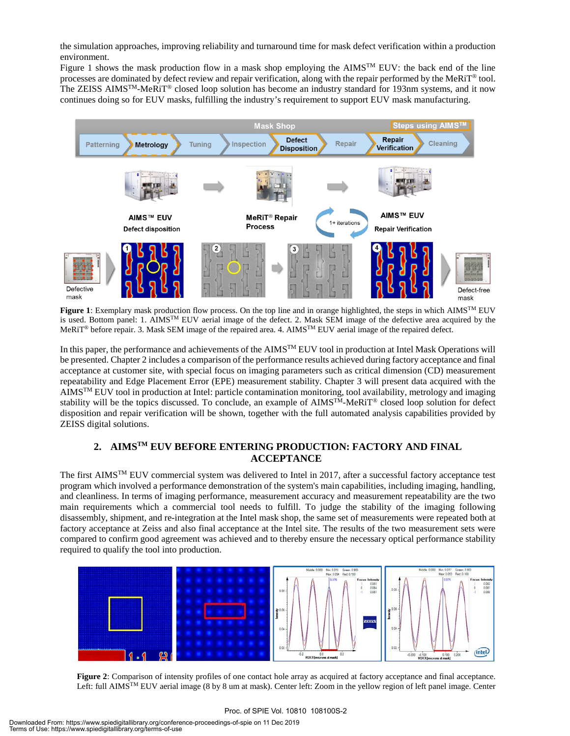the simulation approaches, improving reliability and turnaround time for mask defect verification within a production environment.

Figure 1 shows the mask production flow in a mask shop employing the AIMS<sup>TM</sup> EUV: the back end of the line processes are dominated by defect review and repair verification, along with the repair performed by the MeRiT® tool. The ZEISS AIMSTM-MeRiT® closed loop solution has become an industry standard for 193nm systems, and it now continues doing so for EUV masks, fulfilling the industry's requirement to support EUV mask manufacturing.



**Figure 1**: Exemplary mask production flow process. On the top line and in orange highlighted, the steps in which AIMSTM EUV is used. Bottom panel: 1. AIMS<sup>TM</sup> EUV aerial image of the defect. 2. Mask SEM image of the defective area acquired by the MeRiT® before repair. 3. Mask SEM image of the repaired area. 4. AIMSTM EUV aerial image of the repaired defect.

In this paper, the performance and achievements of the AIMS<sup>TM</sup> EUV tool in production at Intel Mask Operations will be presented. Chapter 2 includes a comparison of the performance results achieved during factory acceptance and final acceptance at customer site, with special focus on imaging parameters such as critical dimension (CD) measurement repeatability and Edge Placement Error (EPE) measurement stability. Chapter 3 will present data acquired with the  $AIMS^{TM} EUV$  tool in production at Intel: particle contamination monitoring, tool availability, metrology and imaging stability will be the topics discussed. To conclude, an example of  $\text{AIMS}^{\text{TM}}\text{-}\text{MeRiT}^{\text{\textcirc}}$  closed loop solution for defect disposition and repair verification will be shown, together with the full automated analysis capabilities provided by ZEISS digital solutions.

#### **2. AIMSTM EUV BEFORE ENTERING PRODUCTION: FACTORY AND FINAL ACCEPTANCE**

The first AIMS<sup>TM</sup> EUV commercial system was delivered to Intel in 2017, after a successful factory acceptance test program which involved a performance demonstration of the system's main capabilities, including imaging, handling, and cleanliness. In terms of imaging performance, measurement accuracy and measurement repeatability are the two main requirements which a commercial tool needs to fulfill. To judge the stability of the imaging following disassembly, shipment, and re-integration at the Intel mask shop, the same set of measurements were repeated both at factory acceptance at Zeiss and also final acceptance at the Intel site. The results of the two measurement sets were compared to confirm good agreement was achieved and to thereby ensure the necessary optical performance stability required to qualify the tool into production.



**Figure 2**: Comparison of intensity profiles of one contact hole array as acquired at factory acceptance and final acceptance. Left: full AIMSTM EUV aerial image (8 by 8 um at mask). Center left: Zoom in the yellow region of left panel image. Center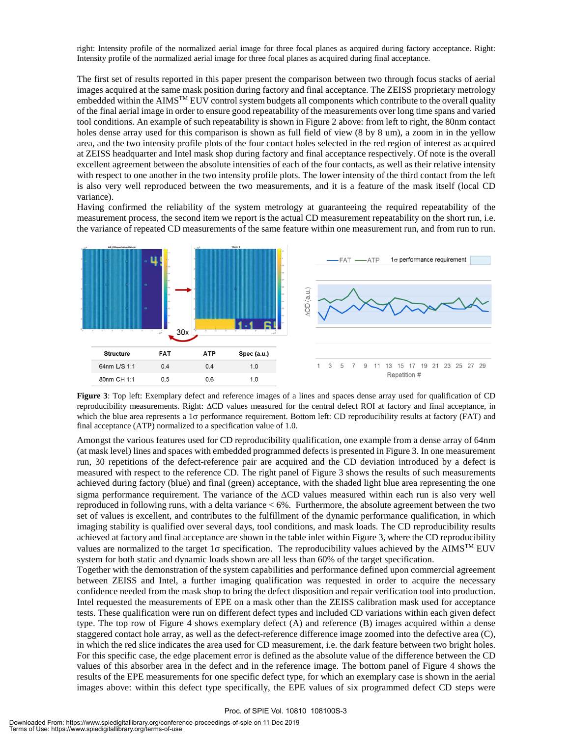right: Intensity profile of the normalized aerial image for three focal planes as acquired during factory acceptance. Right: Intensity profile of the normalized aerial image for three focal planes as acquired during final acceptance.

The first set of results reported in this paper present the comparison between two through focus stacks of aerial images acquired at the same mask position during factory and final acceptance. The ZEISS proprietary metrology embedded within the AIMSTM EUV control system budgets all components which contribute to the overall quality of the final aerial image in order to ensure good repeatability of the measurements over long time spans and varied tool conditions. An example of such repeatability is shown in Figure 2 above: from left to right, the 80nm contact holes dense array used for this comparison is shown as full field of view (8 by 8 um), a zoom in in the yellow area, and the two intensity profile plots of the four contact holes selected in the red region of interest as acquired at ZEISS headquarter and Intel mask shop during factory and final acceptance respectively. Of note is the overall excellent agreement between the absolute intensities of each of the four contacts, as well as their relative intensity with respect to one another in the two intensity profile plots. The lower intensity of the third contact from the left is also very well reproduced between the two measurements, and it is a feature of the mask itself (local CD variance).

Having confirmed the reliability of the system metrology at guaranteeing the required repeatability of the measurement process, the second item we report is the actual CD measurement repeatability on the short run, i.e. the variance of repeated CD measurements of the same feature within one measurement run, and from run to run.



**Figure 3**: Top left: Exemplary defect and reference images of a lines and spaces dense array used for qualification of CD reproducibility measurements. Right: ∆CD values measured for the central defect ROI at factory and final acceptance, in which the blue area represents a 1σ performance requirement. Bottom left: CD reproducibility results at factory (FAT) and final acceptance (ATP) normalized to a specification value of 1.0.

Amongst the various features used for CD reproducibility qualification, one example from a dense array of 64nm (at mask level) lines and spaces with embedded programmed defects is presented in Figure 3. In one measurement run, 30 repetitions of the defect-reference pair are acquired and the CD deviation introduced by a defect is measured with respect to the reference CD. The right panel of Figure 3 shows the results of such measurements achieved during factory (blue) and final (green) acceptance, with the shaded light blue area representing the one sigma performance requirement. The variance of the ∆CD values measured within each run is also very well reproduced in following runs, with a delta variance < 6%. Furthermore, the absolute agreement between the two set of values is excellent, and contributes to the fulfillment of the dynamic performance qualification, in which imaging stability is qualified over several days, tool conditions, and mask loads. The CD reproducibility results achieved at factory and final acceptance are shown in the table inlet within Figure 3, where the CD reproducibility values are normalized to the target 1σ specification. The reproducibility values achieved by the AIMSTM EUV system for both static and dynamic loads shown are all less than 60% of the target specification.

Together with the demonstration of the system capabilities and performance defined upon commercial agreement between ZEISS and Intel, a further imaging qualification was requested in order to acquire the necessary confidence needed from the mask shop to bring the defect disposition and repair verification tool into production. Intel requested the measurements of EPE on a mask other than the ZEISS calibration mask used for acceptance tests. These qualification were run on different defect types and included CD variations within each given defect type. The top row of Figure 4 shows exemplary defect (A) and reference (B) images acquired within a dense staggered contact hole array, as well as the defect-reference difference image zoomed into the defective area (C), in which the red slice indicates the area used for CD measurement, i.e. the dark feature between two bright holes. For this specific case, the edge placement error is defined as the absolute value of the difference between the CD values of this absorber area in the defect and in the reference image. The bottom panel of Figure 4 shows the results of the EPE measurements for one specific defect type, for which an exemplary case is shown in the aerial images above: within this defect type specifically, the EPE values of six programmed defect CD steps were

#### Proc. of SPIE Vol. 10810 108100S-3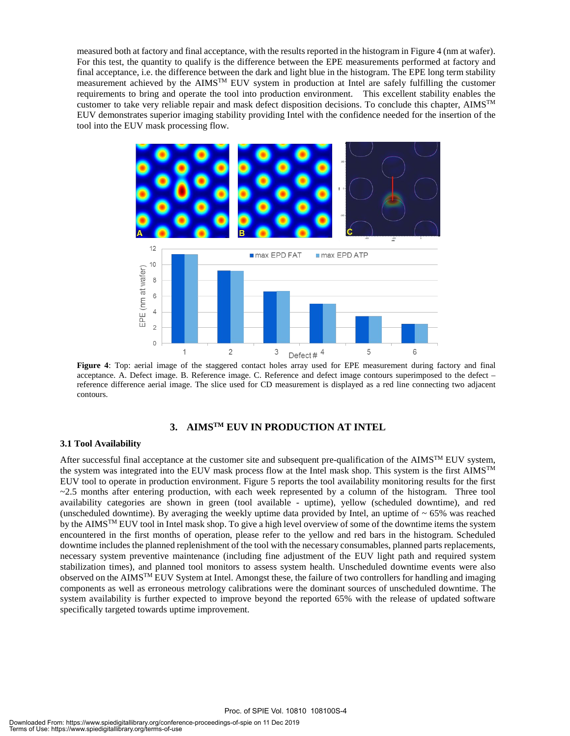measured both at factory and final acceptance, with the results reported in the histogram in Figure 4 (nm at wafer). For this test, the quantity to qualify is the difference between the EPE measurements performed at factory and final acceptance, i.e. the difference between the dark and light blue in the histogram. The EPE long term stability measurement achieved by the AIMSTM EUV system in production at Intel are safely fulfilling the customer requirements to bring and operate the tool into production environment. This excellent stability enables the customer to take very reliable repair and mask defect disposition decisions. To conclude this chapter,  $\text{AIMS}^{\text{TM}}$ EUV demonstrates superior imaging stability providing Intel with the confidence needed for the insertion of the tool into the EUV mask processing flow.



**Figure 4**: Top: aerial image of the staggered contact holes array used for EPE measurement during factory and final acceptance. A. Defect image. B. Reference image. C. Reference and defect image contours superimposed to the defect – reference difference aerial image. The slice used for CD measurement is displayed as a red line connecting two adjacent contours.

#### **3. AIMSTM EUV IN PRODUCTION AT INTEL**

#### **3.1 Tool Availability**

After successful final acceptance at the customer site and subsequent pre-qualification of the AIMS<sup>TM</sup> EUV system, the system was integrated into the EUV mask process flow at the Intel mask shop. This system is the first AIMSTM EUV tool to operate in production environment. Figure 5 reports the tool availability monitoring results for the first  $\sim$ 2.5 months after entering production, with each week represented by a column of the histogram. Three tool availability categories are shown in green (tool available - uptime), yellow (scheduled downtime), and red (unscheduled downtime). By averaging the weekly uptime data provided by Intel, an uptime of  $\sim 65\%$  was reached by the AIMS<sup>TM</sup> EUV tool in Intel mask shop. To give a high level overview of some of the downtime items the system encountered in the first months of operation, please refer to the yellow and red bars in the histogram. Scheduled downtime includes the planned replenishment of the tool with the necessary consumables, planned parts replacements, necessary system preventive maintenance (including fine adjustment of the EUV light path and required system stabilization times), and planned tool monitors to assess system health. Unscheduled downtime events were also observed on the AIMSTM EUV System at Intel. Amongst these, the failure of two controllers for handling and imaging components as well as erroneous metrology calibrations were the dominant sources of unscheduled downtime. The system availability is further expected to improve beyond the reported 65% with the release of updated software specifically targeted towards uptime improvement.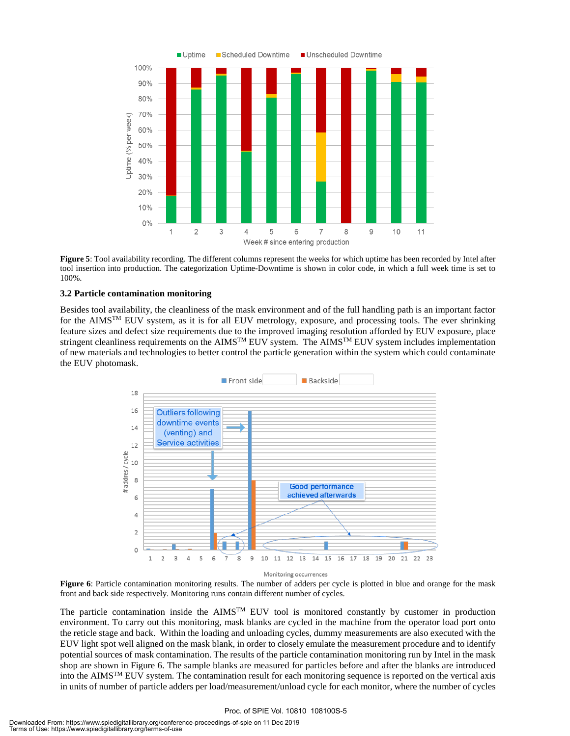

**Figure 5**: Tool availability recording. The different columns represent the weeks for which uptime has been recorded by Intel after tool insertion into production. The categorization Uptime-Downtime is shown in color code, in which a full week time is set to 100%.

#### **3.2 Particle contamination monitoring**

Besides tool availability, the cleanliness of the mask environment and of the full handling path is an important factor for the AIMSTM EUV system, as it is for all EUV metrology, exposure, and processing tools. The ever shrinking feature sizes and defect size requirements due to the improved imaging resolution afforded by EUV exposure, place stringent cleanliness requirements on the AIMS<sup>TM</sup> EUV system. The AIMS<sup>TM</sup> EUV system includes implementation of new materials and technologies to better control the particle generation within the system which could contaminate the EUV photomask.



Monitoring occurrences

**Figure 6**: Particle contamination monitoring results. The number of adders per cycle is plotted in blue and orange for the mask front and back side respectively. Monitoring runs contain different number of cycles.

The particle contamination inside the  $AIMS^{TM}$  EUV tool is monitored constantly by customer in production environment. To carry out this monitoring, mask blanks are cycled in the machine from the operator load port onto the reticle stage and back. Within the loading and unloading cycles, dummy measurements are also executed with the EUV light spot well aligned on the mask blank, in order to closely emulate the measurement procedure and to identify potential sources of mask contamination. The results of the particle contamination monitoring run by Intel in the mask shop are shown in Figure 6. The sample blanks are measured for particles before and after the blanks are introduced into the AIMSTM EUV system. The contamination result for each monitoring sequence is reported on the vertical axis in units of number of particle adders per load/measurement/unload cycle for each monitor, where the number of cycles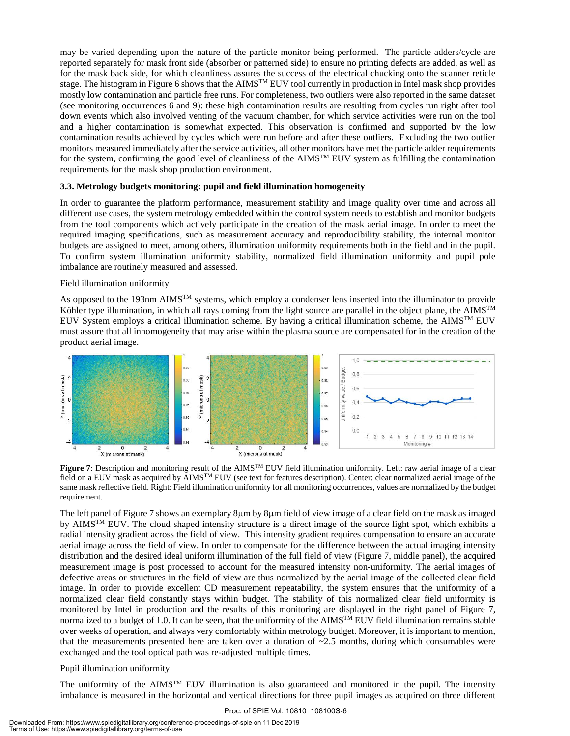may be varied depending upon the nature of the particle monitor being performed. The particle adders/cycle are reported separately for mask front side (absorber or patterned side) to ensure no printing defects are added, as well as for the mask back side, for which cleanliness assures the success of the electrical chucking onto the scanner reticle stage. The histogram in Figure 6 shows that the AIMS<sup>TM</sup> EUV tool currently in production in Intel mask shop provides mostly low contamination and particle free runs. For completeness, two outliers were also reported in the same dataset (see monitoring occurrences 6 and 9): these high contamination results are resulting from cycles run right after tool down events which also involved venting of the vacuum chamber, for which service activities were run on the tool and a higher contamination is somewhat expected. This observation is confirmed and supported by the low contamination results achieved by cycles which were run before and after these outliers. Excluding the two outlier monitors measured immediately after the service activities, all other monitors have met the particle adder requirements for the system, confirming the good level of cleanliness of the AIMS<sup>TM</sup> EUV system as fulfilling the contamination requirements for the mask shop production environment.

#### **3.3. Metrology budgets monitoring: pupil and field illumination homogeneity**

In order to guarantee the platform performance, measurement stability and image quality over time and across all different use cases, the system metrology embedded within the control system needs to establish and monitor budgets from the tool components which actively participate in the creation of the mask aerial image. In order to meet the required imaging specifications, such as measurement accuracy and reproducibility stability, the internal monitor budgets are assigned to meet, among others, illumination uniformity requirements both in the field and in the pupil. To confirm system illumination uniformity stability, normalized field illumination uniformity and pupil pole imbalance are routinely measured and assessed.

#### Field illumination uniformity

As opposed to the 193nm  $\text{AIMS}^{\text{TM}}$  systems, which employ a condenser lens inserted into the illuminator to provide Köhler type illumination, in which all rays coming from the light source are parallel in the object plane, the AIMS<sup>TM</sup> EUV System employs a critical illumination scheme. By having a critical illumination scheme, the AIMS<sup>TM</sup> EUV must assure that all inhomogeneity that may arise within the plasma source are compensated for in the creation of the product aerial image.



**Figure 7**: Description and monitoring result of the AIMSTM EUV field illumination uniformity. Left: raw aerial image of a clear field on a EUV mask as acquired by AIMSTM EUV (see text for features description). Center: clear normalized aerial image of the same mask reflective field. Right: Field illumination uniformity for all monitoring occurrences, values are normalized by the budget requirement.

The left panel of Figure 7 shows an exemplary 8µm by 8µm field of view image of a clear field on the mask as imaged by AIMS<sup>TM</sup> EUV. The cloud shaped intensity structure is a direct image of the source light spot, which exhibits a radial intensity gradient across the field of view. This intensity gradient requires compensation to ensure an accurate aerial image across the field of view. In order to compensate for the difference between the actual imaging intensity distribution and the desired ideal uniform illumination of the full field of view (Figure 7, middle panel), the acquired measurement image is post processed to account for the measured intensity non-uniformity. The aerial images of defective areas or structures in the field of view are thus normalized by the aerial image of the collected clear field image. In order to provide excellent CD measurement repeatability, the system ensures that the uniformity of a normalized clear field constantly stays within budget. The stability of this normalized clear field uniformity is monitored by Intel in production and the results of this monitoring are displayed in the right panel of Figure 7, normalized to a budget of 1.0. It can be seen, that the uniformity of the AIMS<sup>TM</sup> EUV field illumination remains stable over weeks of operation, and always very comfortably within metrology budget. Moreover, it is important to mention, that the measurements presented here are taken over a duration of ~2.5 months, during which consumables were exchanged and the tool optical path was re-adjusted multiple times.

#### Pupil illumination uniformity

The uniformity of the AIMS<sup>TM</sup> EUV illumination is also guaranteed and monitored in the pupil. The intensity imbalance is measured in the horizontal and vertical directions for three pupil images as acquired on three different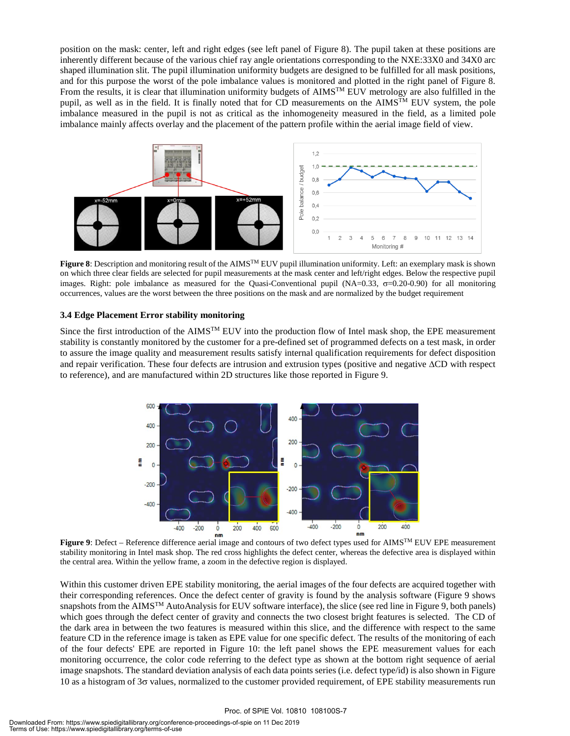position on the mask: center, left and right edges (see left panel of Figure 8). The pupil taken at these positions are inherently different because of the various chief ray angle orientations corresponding to the NXE:33X0 and 34X0 arc shaped illumination slit. The pupil illumination uniformity budgets are designed to be fulfilled for all mask positions, and for this purpose the worst of the pole imbalance values is monitored and plotted in the right panel of Figure 8. From the results, it is clear that illumination uniformity budgets of  $\text{AIMS}^{\text{TM}}$  EUV metrology are also fulfilled in the pupil, as well as in the field. It is finally noted that for CD measurements on the  $\text{AIMS}^{\text{TM}}$  EUV system, the pole imbalance measured in the pupil is not as critical as the inhomogeneity measured in the field, as a limited pole imbalance mainly affects overlay and the placement of the pattern profile within the aerial image field of view.



**Figure 8**: Description and monitoring result of the AIMSTM EUV pupil illumination uniformity. Left: an exemplary mask is shown on which three clear fields are selected for pupil measurements at the mask center and left/right edges. Below the respective pupil images. Right: pole imbalance as measured for the Quasi-Conventional pupil  $(NA=0.33, \sigma=0.20-0.90)$  for all monitoring occurrences, values are the worst between the three positions on the mask and are normalized by the budget requirement

#### **3.4 Edge Placement Error stability monitoring**

Since the first introduction of the AIMS<sup>TM</sup> EUV into the production flow of Intel mask shop, the EPE measurement stability is constantly monitored by the customer for a pre-defined set of programmed defects on a test mask, in order to assure the image quality and measurement results satisfy internal qualification requirements for defect disposition and repair verification. These four defects are intrusion and extrusion types (positive and negative ∆CD with respect to reference), and are manufactured within 2D structures like those reported in Figure 9.



nm **Figure 9**: Defect – Reference difference aerial image and contours of two defect types used for AIMSTM EUV EPE measurement stability monitoring in Intel mask shop. The red cross highlights the defect center, whereas the defective area is displayed within the central area. Within the yellow frame, a zoom in the defective region is displayed.

Within this customer driven EPE stability monitoring, the aerial images of the four defects are acquired together with their corresponding references. Once the defect center of gravity is found by the analysis software (Figure 9 shows snapshots from the AIMS<sup>TM</sup> AutoAnalysis for EUV software interface), the slice (see red line in Figure 9, both panels) which goes through the defect center of gravity and connects the two closest bright features is selected. The CD of the dark area in between the two features is measured within this slice, and the difference with respect to the same feature CD in the reference image is taken as EPE value for one specific defect. The results of the monitoring of each of the four defects' EPE are reported in Figure 10: the left panel shows the EPE measurement values for each monitoring occurrence, the color code referring to the defect type as shown at the bottom right sequence of aerial image snapshots. The standard deviation analysis of each data points series (i.e. defect type/id) is also shown in Figure 10 as a histogram of 3σ values, normalized to the customer provided requirement, of EPE stability measurements run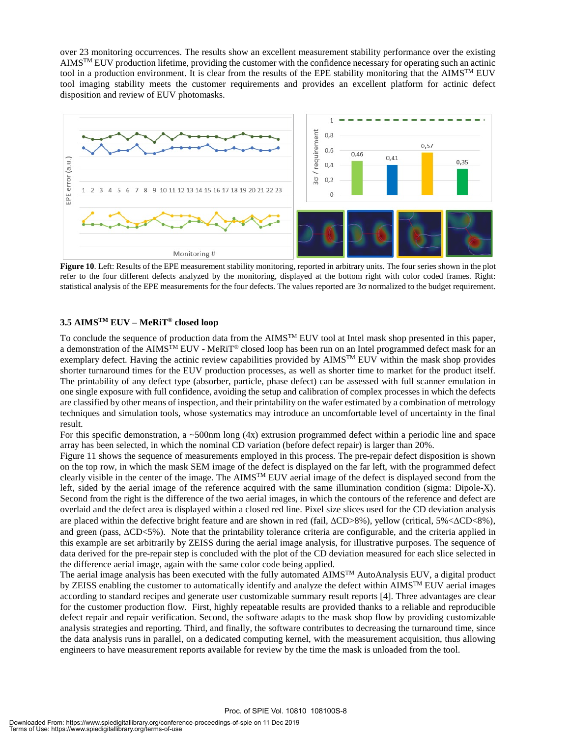over 23 monitoring occurrences. The results show an excellent measurement stability performance over the existing  $AIMS^{TM} EUV$  production lifetime, providing the customer with the confidence necessary for operating such an actinic tool in a production environment. It is clear from the results of the EPE stability monitoring that the AIMS<sup>TM</sup> EUV tool imaging stability meets the customer requirements and provides an excellent platform for actinic defect disposition and review of EUV photomasks.



**Figure 10**. Left: Results of the EPE measurement stability monitoring, reported in arbitrary units. The four series shown in the plot refer to the four different defects analyzed by the monitoring, displayed at the bottom right with color coded frames. Right: statistical analysis of the EPE measurements for the four defects. The values reported are 3σ normalized to the budget requirement.

#### **3.5 AIMSTM EUV – MeRiT® closed loop**

To conclude the sequence of production data from the  $\text{AIMS}^{\text{TM}}$  EUV tool at Intel mask shop presented in this paper, a demonstration of the AIMS<sup>TM</sup> EUV - MeRiT<sup>®</sup> closed loop has been run on an Intel programmed defect mask for an exemplary defect. Having the actinic review capabilities provided by AIMSTM EUV within the mask shop provides shorter turnaround times for the EUV production processes, as well as shorter time to market for the product itself. The printability of any defect type (absorber, particle, phase defect) can be assessed with full scanner emulation in one single exposure with full confidence, avoiding the setup and calibration of complex processes in which the defects are classified by other means of inspection, and their printability on the wafer estimated by a combination of metrology techniques and simulation tools, whose systematics may introduce an uncomfortable level of uncertainty in the final result.

For this specific demonstration, a  $\sim$ 500nm long (4x) extrusion programmed defect within a periodic line and space array has been selected, in which the nominal CD variation (before defect repair) is larger than 20%.

Figure 11 shows the sequence of measurements employed in this process. The pre-repair defect disposition is shown on the top row, in which the mask SEM image of the defect is displayed on the far left, with the programmed defect clearly visible in the center of the image. The  $\text{AIMS}^{\text{TM}}$  EUV aerial image of the defect is displayed second from the left, sided by the aerial image of the reference acquired with the same illumination condition (sigma: Dipole-X). Second from the right is the difference of the two aerial images, in which the contours of the reference and defect are overlaid and the defect area is displayed within a closed red line. Pixel size slices used for the CD deviation analysis are placed within the defective bright feature and are shown in red (fail, ∆CD>8%), yellow (critical, 5%<∆CD<8%), and green (pass, ∆CD<5%). Note that the printability tolerance criteria are configurable, and the criteria applied in this example are set arbitrarily by ZEISS during the aerial image analysis, for illustrative purposes. The sequence of data derived for the pre-repair step is concluded with the plot of the CD deviation measured for each slice selected in the difference aerial image, again with the same color code being applied.

The aerial image analysis has been executed with the fully automated AIMSTM AutoAnalysis EUV, a digital product by ZEISS enabling the customer to automatically identify and analyze the defect within AIMS<sup>TM</sup> EUV aerial images according to standard recipes and generate user customizable summary result reports [4]. Three advantages are clear for the customer production flow. First, highly repeatable results are provided thanks to a reliable and reproducible defect repair and repair verification. Second, the software adapts to the mask shop flow by providing customizable analysis strategies and reporting. Third, and finally, the software contributes to decreasing the turnaround time, since the data analysis runs in parallel, on a dedicated computing kernel, with the measurement acquisition, thus allowing engineers to have measurement reports available for review by the time the mask is unloaded from the tool.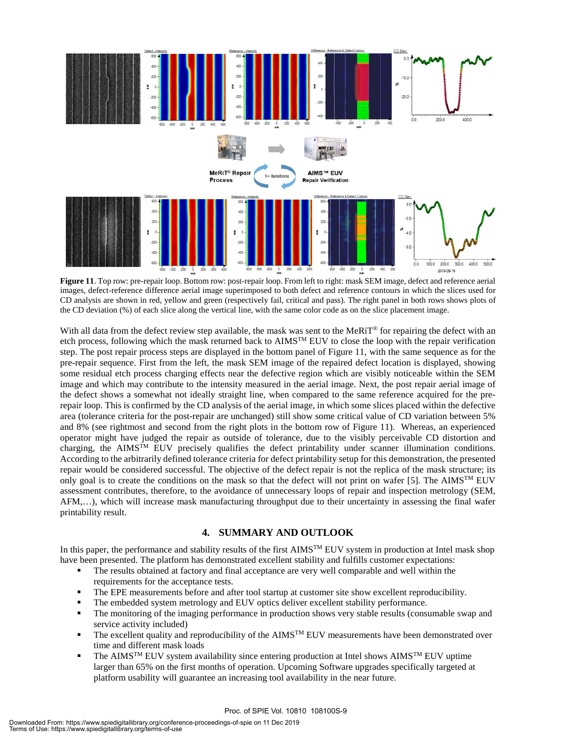

**Figure 11**. Top row: pre-repair loop. Bottom row: post-repair loop. From left to right: mask SEM image, defect and reference aerial images, defect-reference difference aerial image superimposed to both defect and reference contours in which the slices used for CD analysis are shown in red, yellow and green (respectively fail, critical and pass). The right panel in both rows shows plots of the CD deviation (%) of each slice along the vertical line, with the same color code as on the slice placement image.

With all data from the defect review step available, the mask was sent to the MeRiT<sup>®</sup> for repairing the defect with an etch process, following which the mask returned back to AIMSTM EUV to close the loop with the repair verification step. The post repair process steps are displayed in the bottom panel of Figure 11, with the same sequence as for the pre-repair sequence. First from the left, the mask SEM image of the repaired defect location is displayed, showing some residual etch process charging effects near the defective region which are visibly noticeable within the SEM image and which may contribute to the intensity measured in the aerial image. Next, the post repair aerial image of the defect shows a somewhat not ideally straight line, when compared to the same reference acquired for the prerepair loop. This is confirmed by the CD analysis of the aerial image, in which some slices placed within the defective area (tolerance criteria for the post-repair are unchanged) still show some critical value of CD variation between 5% and 8% (see rightmost and second from the right plots in the bottom row of Figure 11). Whereas, an experienced operator might have judged the repair as outside of tolerance, due to the visibly perceivable CD distortion and charging, the AIMS<sup>TM</sup> EUV precisely qualifies the defect printability under scanner illumination conditions. According to the arbitrarily defined tolerance criteria for defect printability setup for this demonstration, the presented repair would be considered successful. The objective of the defect repair is not the replica of the mask structure; its only goal is to create the conditions on the mask so that the defect will not print on wafer [5]. The AIMS<sup>TM</sup> EUV assessment contributes, therefore, to the avoidance of unnecessary loops of repair and inspection metrology (SEM, AFM,…), which will increase mask manufacturing throughput due to their uncertainty in assessing the final wafer printability result.

#### **4. SUMMARY AND OUTLOOK**

In this paper, the performance and stability results of the first  $\text{AIMS}^{\text{TM}}$  EUV system in production at Intel mask shop have been presented. The platform has demonstrated excellent stability and fulfills customer expectations:

- The results obtained at factory and final acceptance are very well comparable and well within the requirements for the acceptance tests.
- The EPE measurements before and after tool startup at customer site show excellent reproducibility.
- The embedded system metrology and EUV optics deliver excellent stability performance.
- The monitoring of the imaging performance in production shows very stable results (consumable swap and service activity included)
- The excellent quality and reproducibility of the  $AIMS^{TM} EUV$  measurements have been demonstrated over time and different mask loads
- The AIMS<sup>TM</sup> EUV system availability since entering production at Intel shows AIMS<sup>TM</sup> EUV uptime larger than 65% on the first months of operation. Upcoming Software upgrades specifically targeted at platform usability will guarantee an increasing tool availability in the near future.